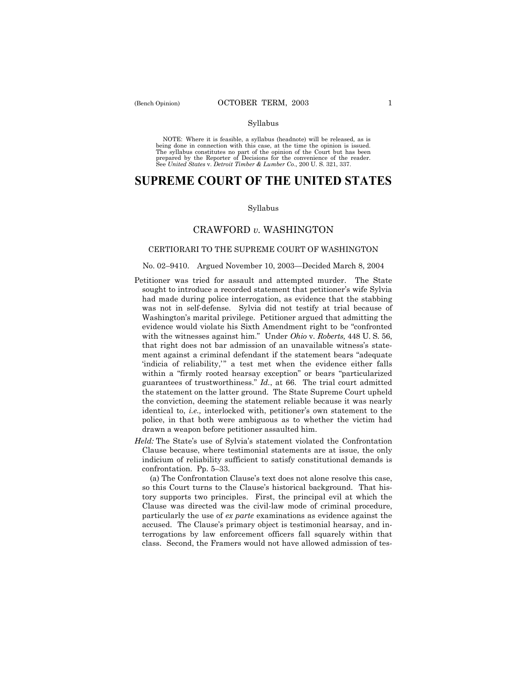### Syllabus

NOTE: Where it is feasible, a syllabus (headnote) will be released, as is being done in connection with this case, at the time the opinion is issued. The syllabus constitutes no part of the opinion of the Court but has been<br>prepared by the Reporter of Decisions for the convenience of the reader.<br>See United States v. Detroit Timber & Lumber Co., 200 U. S. 321, 337.

# **SUPREME COURT OF THE UNITED STATES**

#### Syllabus

## CRAWFORD *v.* WASHINGTON

## CERTIORARI TO THE SUPREME COURT OF WASHINGTON

## No. 02-9410. Argued November 10, 2003-Decided March 8, 2004

- Petitioner was tried for assault and attempted murder. The State sought to introduce a recorded statement that petitioner's wife Sylvia had made during police interrogation, as evidence that the stabbing was not in self-defense. Sylvia did not testify at trial because of Washington's marital privilege. Petitioner argued that admitting the evidence would violate his Sixth Amendment right to be "confronted with the witnesses against him.î Under *Ohio* v. *Roberts,* 448 U. S. 56, that right does not bar admission of an unavailable witness's statement against a criminal defendant if the statement bears "adequate 'indicia of reliability,'" a test met when the evidence either falls within a "firmly rooted hearsay exception" or bears "particularized guarantees of trustworthiness." *Id.*, at 66. The trial court admitted the statement on the latter ground. The State Supreme Court upheld the conviction, deeming the statement reliable because it was nearly identical to, *i.e.*, interlocked with, petitioner's own statement to the police, in that both were ambiguous as to whether the victim had drawn a weapon before petitioner assaulted him.
- *Held:* The State's use of Sylvia's statement violated the Confrontation Clause because, where testimonial statements are at issue, the only indicium of reliability sufficient to satisfy constitutional demands is confrontation. Pp. 5-33.

(a) The Confrontation Clause's text does not alone resolve this case, so this Court turns to the Clause's historical background. That history supports two principles. First, the principal evil at which the Clause was directed was the civil-law mode of criminal procedure, particularly the use of *ex parte* examinations as evidence against the accused. The Clause's primary object is testimonial hearsay, and interrogations by law enforcement officers fall squarely within that class. Second, the Framers would not have allowed admission of tes-